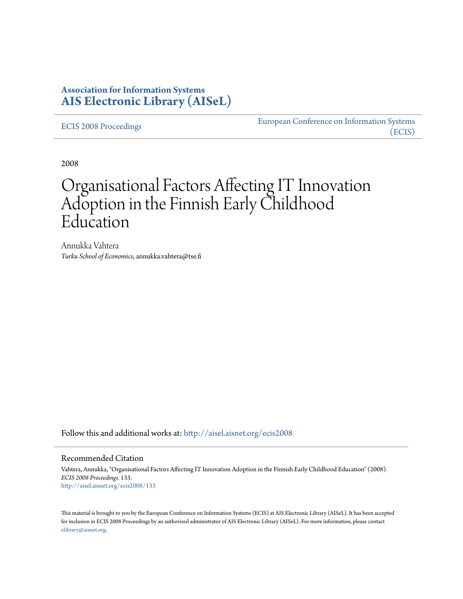### **Association for Information Systems [AIS Electronic Library \(AISeL\)](http://aisel.aisnet.org?utm_source=aisel.aisnet.org%2Fecis2008%2F133&utm_medium=PDF&utm_campaign=PDFCoverPages)**

[ECIS 2008 Proceedings](http://aisel.aisnet.org/ecis2008?utm_source=aisel.aisnet.org%2Fecis2008%2F133&utm_medium=PDF&utm_campaign=PDFCoverPages)

[European Conference on Information Systems](http://aisel.aisnet.org/ecis?utm_source=aisel.aisnet.org%2Fecis2008%2F133&utm_medium=PDF&utm_campaign=PDFCoverPages) [\(ECIS\)](http://aisel.aisnet.org/ecis?utm_source=aisel.aisnet.org%2Fecis2008%2F133&utm_medium=PDF&utm_campaign=PDFCoverPages)

2008

# Organisational Factors Affecting IT Innovation Adoption in the Finnish Early Childhood Education

Annukka Vahtera *Turku School of Economics*, annukka.vahtera@tse.fi

Follow this and additional works at: [http://aisel.aisnet.org/ecis2008](http://aisel.aisnet.org/ecis2008?utm_source=aisel.aisnet.org%2Fecis2008%2F133&utm_medium=PDF&utm_campaign=PDFCoverPages)

#### Recommended Citation

Vahtera, Annukka, "Organisational Factors Affecting IT Innovation Adoption in the Finnish Early Childhood Education" (2008). *ECIS 2008 Proceedings*. 133. [http://aisel.aisnet.org/ecis2008/133](http://aisel.aisnet.org/ecis2008/133?utm_source=aisel.aisnet.org%2Fecis2008%2F133&utm_medium=PDF&utm_campaign=PDFCoverPages)

This material is brought to you by the European Conference on Information Systems (ECIS) at AIS Electronic Library (AISeL). It has been accepted for inclusion in ECIS 2008 Proceedings by an authorized administrator of AIS Electronic Library (AISeL). For more information, please contact [elibrary@aisnet.org.](mailto:elibrary@aisnet.org%3E)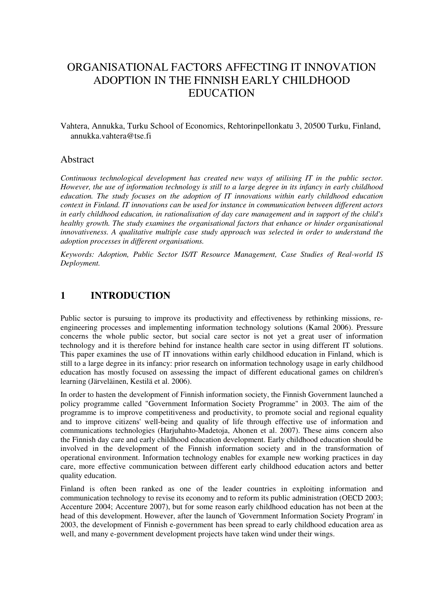## ORGANISATIONAL FACTORS AFFECTING IT INNOVATION ADOPTION IN THE FINNISH EARLY CHILDHOOD EDUCATION

Vahtera, Annukka, Turku School of Economics, Rehtorinpellonkatu 3, 20500 Turku, Finland, annukka.vahtera@tse.fi

### Abstract

*Continuous technological development has created new ways of utilising IT in the public sector. However, the use of information technology is still to a large degree in its infancy in early childhood education. The study focuses on the adoption of IT innovations within early childhood education context in Finland. IT innovations can be used for instance in communication between different actors in early childhood education, in rationalisation of day care management and in support of the child's healthy growth. The study examines the organisational factors that enhance or hinder organisational innovativeness. A qualitative multiple case study approach was selected in order to understand the adoption processes in different organisations.*

*Keywords: Adoption, Public Sector IS/IT Resource Management, Case Studies of Real-world IS Deployment.*

### **1 INTRODUCTION**

Public sector is pursuing to improve its productivity and effectiveness by rethinking missions, reengineering processes and implementing information technology solutions (Kamal 2006). Pressure concerns the whole public sector, but social care sector is not yet a great user of information technology and it is therefore behind for instance health care sector in using different IT solutions. This paper examines the use of IT innovations within early childhood education in Finland, which is still to a large degree in its infancy: prior research on information technology usage in early childhood education has mostly focused on assessing the impact of different educational games on children's learning (Järveläinen, Kestilä et al. 2006).

In order to hasten the development of Finnish information society, the Finnish Government launched a policy programme called "Government Information Society Programme" in 2003. The aim of the programme is to improve competitiveness and productivity, to promote social and regional equality and to improve citizens' well-being and quality of life through effective use of information and communications technologies (Harjuhahto-Madetoja, Ahonen et al. 2007). These aims concern also the Finnish day care and early childhood education development. Early childhood education should be involved in the development of the Finnish information society and in the transformation of operational environment. Information technology enables for example new working practices in day care, more effective communication between different early childhood education actors and better quality education.

Finland is often been ranked as one of the leader countries in exploiting information and communication technology to revise its economy and to reform its public administration (OECD 2003; Accenture 2004; Accenture 2007), but for some reason early childhood education has not been at the head of this development. However, after the launch of 'Government Information Society Program' in 2003, the development of Finnish e-government has been spread to early childhood education area as well, and many e-government development projects have taken wind under their wings.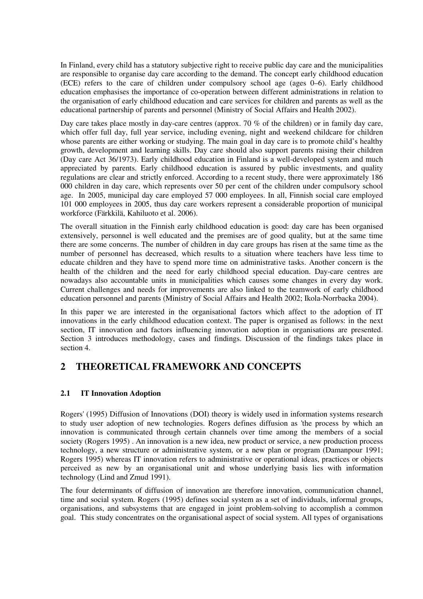In Finland, every child has a statutory subjective right to receive public day care and the municipalities are responsible to organise day care according to the demand. The concept early childhood education (ECE) refers to the care of children under compulsory school age (ages 0–6). Early childhood education emphasises the importance of co-operation between different administrations in relation to the organisation of early childhood education and care services for children and parents as well as the educational partnership of parents and personnel (Ministry of Social Affairs and Health 2002).

Day care takes place mostly in day-care centres (approx. 70 % of the children) or in family day care, which offer full day, full year service, including evening, night and weekend childcare for children whose parents are either working or studying. The main goal in day care is to promote child's healthy growth, development and learning skills. Day care should also support parents raising their children (Day care Act 36/1973). Early childhood education in Finland is a well-developed system and much appreciated by parents. Early childhood education is assured by public investments, and quality regulations are clear and strictly enforced. According to a recent study, there were approximately 186 000 children in day care, which represents over 50 per cent of the children under compulsory school age. In 2005, municipal day care employed 57 000 employees. In all, Finnish social care employed 101 000 employees in 2005, thus day care workers represent a considerable proportion of municipal workforce (Färkkilä, Kahiluoto et al. 2006).

The overall situation in the Finnish early childhood education is good: day care has been organised extensively, personnel is well educated and the premises are of good quality, but at the same time there are some concerns. The number of children in day care groups has risen at the same time as the number of personnel has decreased, which results to a situation where teachers have less time to educate children and they have to spend more time on administrative tasks. Another concern is the health of the children and the need for early childhood special education. Day-care centres are nowadays also accountable units in municipalities which causes some changes in every day work. Current challenges and needs for improvements are also linked to the teamwork of early childhood education personnel and parents (Ministry of Social Affairs and Health 2002; Ikola-Norrbacka 2004).

In this paper we are interested in the organisational factors which affect to the adoption of IT innovations in the early childhood education context. The paper is organised as follows: in the next section, IT innovation and factors influencing innovation adoption in organisations are presented. Section 3 introduces methodology, cases and findings. Discussion of the findings takes place in section 4.

### **2 THEORETICAL FRAMEWORK AND CONCEPTS**

### **2.1 IT Innovation Adoption**

Rogers' (1995) Diffusion of Innovations (DOI) theory is widely used in information systems research to study user adoption of new technologies. Rogers defines diffusion as 'the process by which an innovation is communicated through certain channels over time among the members of a social society (Rogers 1995) . An innovation is a new idea, new product or service, a new production process technology, a new structure or administrative system, or a new plan or program (Damanpour 1991; Rogers 1995) whereas IT innovation refers to administrative or operational ideas, practices or objects perceived as new by an organisational unit and whose underlying basis lies with information technology (Lind and Zmud 1991).

The four determinants of diffusion of innovation are therefore innovation, communication channel, time and social system. Rogers (1995) defines social system as a set of individuals, informal groups, organisations, and subsystems that are engaged in joint problem-solving to accomplish a common goal. This study concentrates on the organisational aspect of social system. All types of organisations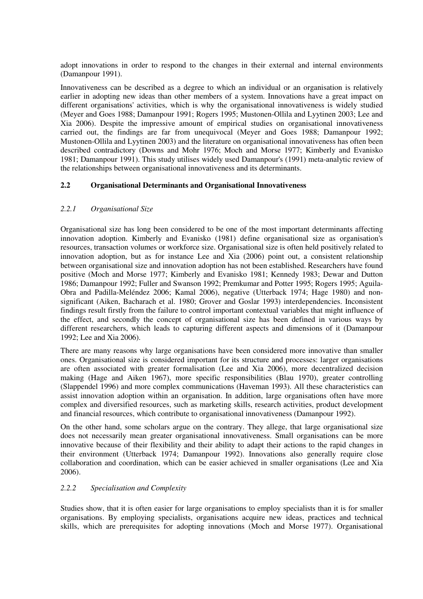adopt innovations in order to respond to the changes in their external and internal environments (Damanpour 1991).

Innovativeness can be described as a degree to which an individual or an organisation is relatively earlier in adopting new ideas than other members of a system. Innovations have a great impact on different organisations' activities, which is why the organisational innovativeness is widely studied (Meyer and Goes 1988; Damanpour 1991; Rogers 1995; Mustonen-Ollila and Lyytinen 2003; Lee and Xia 2006). Despite the impressive amount of empirical studies on organisational innovativeness carried out, the findings are far from unequivocal (Meyer and Goes 1988; Damanpour 1992; Mustonen-Ollila and Lyytinen 2003) and the literature on organisational innovativeness has often been described contradictory (Downs and Mohr 1976; Moch and Morse 1977; Kimberly and Evanisko 1981; Damanpour 1991). This study utilises widely used Damanpour's (1991) meta-analytic review of the relationships between organisational innovativeness and its determinants.

### **2.2 Organisational Determinants and Organisational Innovativeness**

### *2.2.1 Organisational Size*

Organisational size has long been considered to be one of the most important determinants affecting innovation adoption. Kimberly and Evanisko (1981) define organisational size as organisation's resources, transaction volumes or workforce size. Organisational size is often held positively related to innovation adoption, but as for instance Lee and Xia (2006) point out, a consistent relationship between organisational size and innovation adoption has not been established. Researchers have found positive (Moch and Morse 1977; Kimberly and Evanisko 1981; Kennedy 1983; Dewar and Dutton 1986; Damanpour 1992; Fuller and Swanson 1992; Premkumar and Potter 1995; Rogers 1995; Aguila-Obra and Padilla-Meléndez 2006; Kamal 2006), negative (Utterback 1974; Hage 1980) and nonsignificant (Aiken, Bacharach et al. 1980; Grover and Goslar 1993) interdependencies. Inconsistent findings result firstly from the failure to control important contextual variables that might influence of the effect, and secondly the concept of organisational size has been defined in various ways by different researchers, which leads to capturing different aspects and dimensions of it (Damanpour 1992; Lee and Xia 2006).

There are many reasons why large organisations have been considered more innovative than smaller ones. Organisational size is considered important for its structure and processes: larger organisations are often associated with greater formalisation (Lee and Xia 2006), more decentralized decision making (Hage and Aiken 1967), more specific responsibilities (Blau 1970), greater controlling (Slappendel 1996) and more complex communications (Haveman 1993). All these characteristics can assist innovation adoption within an organisation. In addition, large organisations often have more complex and diversified resources, such as marketing skills, research activities, product development and financial resources, which contribute to organisational innovativeness (Damanpour 1992).

On the other hand, some scholars argue on the contrary. They allege, that large organisational size does not necessarily mean greater organisational innovativeness. Small organisations can be more innovative because of their flexibility and their ability to adapt their actions to the rapid changes in their environment (Utterback 1974; Damanpour 1992). Innovations also generally require close collaboration and coordination, which can be easier achieved in smaller organisations (Lee and Xia 2006).

#### *2.2.2 Specialisation and Complexity*

Studies show, that it is often easier for large organisations to employ specialists than it is for smaller organisations. By employing specialists, organisations acquire new ideas, practices and technical skills, which are prerequisites for adopting innovations (Moch and Morse 1977). Organisational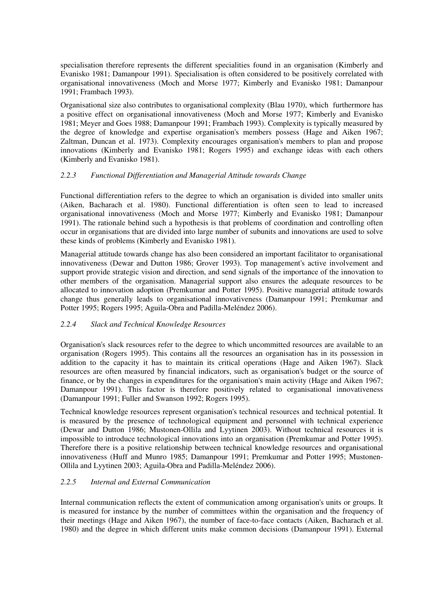specialisation therefore represents the different specialities found in an organisation (Kimberly and Evanisko 1981; Damanpour 1991). Specialisation is often considered to be positively correlated with organisational innovativeness (Moch and Morse 1977; Kimberly and Evanisko 1981; Damanpour 1991; Frambach 1993).

Organisational size also contributes to organisational complexity (Blau 1970), which furthermore has a positive effect on organisational innovativeness (Moch and Morse 1977; Kimberly and Evanisko 1981; Meyer and Goes 1988; Damanpour 1991; Frambach 1993). Complexity is typically measured by the degree of knowledge and expertise organisation's members possess (Hage and Aiken 1967; Zaltman, Duncan et al. 1973). Complexity encourages organisation's members to plan and propose innovations (Kimberly and Evanisko 1981; Rogers 1995) and exchange ideas with each others (Kimberly and Evanisko 1981).

### *2.2.3 Functional Differentiation and Managerial Attitude towards Change*

Functional differentiation refers to the degree to which an organisation is divided into smaller units (Aiken, Bacharach et al. 1980). Functional differentiation is often seen to lead to increased organisational innovativeness (Moch and Morse 1977; Kimberly and Evanisko 1981; Damanpour 1991). The rationale behind such a hypothesis is that problems of coordination and controlling often occur in organisations that are divided into large number of subunits and innovations are used to solve these kinds of problems (Kimberly and Evanisko 1981).

Managerial attitude towards change has also been considered an important facilitator to organisational innovativeness (Dewar and Dutton 1986; Grover 1993). Top management's active involvement and support provide strategic vision and direction, and send signals of the importance of the innovation to other members of the organisation. Managerial support also ensures the adequate resources to be allocated to innovation adoption (Premkumar and Potter 1995). Positive managerial attitude towards change thus generally leads to organisational innovativeness (Damanpour 1991; Premkumar and Potter 1995; Rogers 1995; Aguila-Obra and Padilla-Meléndez 2006).

#### *2.2.4 Slack and Technical Knowledge Resources*

Organisation's slack resources refer to the degree to which uncommitted resources are available to an organisation (Rogers 1995). This contains all the resources an organisation has in its possession in addition to the capacity it has to maintain its critical operations (Hage and Aiken 1967). Slack resources are often measured by financial indicators, such as organisation's budget or the source of finance, or by the changes in expenditures for the organisation's main activity (Hage and Aiken 1967; Damanpour 1991). This factor is therefore positively related to organisational innovativeness (Damanpour 1991; Fuller and Swanson 1992; Rogers 1995).

Technical knowledge resources represent organisation's technical resources and technical potential. It is measured by the presence of technological equipment and personnel with technical experience (Dewar and Dutton 1986; Mustonen-Ollila and Lyytinen 2003). Without technical resources it is impossible to introduce technological innovations into an organisation (Premkumar and Potter 1995). Therefore there is a positive relationship between technical knowledge resources and organisational innovativeness (Huff and Munro 1985; Damanpour 1991; Premkumar and Potter 1995; Mustonen-Ollila and Lyytinen 2003; Aguila-Obra and Padilla-Meléndez 2006).

### *2.2.5 Internal and External Communication*

Internal communication reflects the extent of communication among organisation's units or groups. It is measured for instance by the number of committees within the organisation and the frequency of their meetings (Hage and Aiken 1967), the number of face-to-face contacts (Aiken, Bacharach et al. 1980) and the degree in which different units make common decisions (Damanpour 1991). External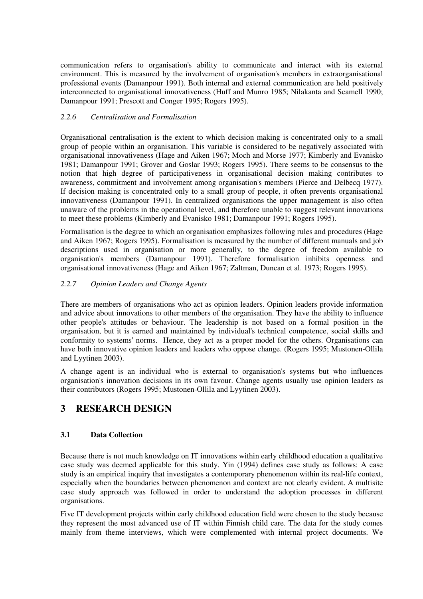communication refers to organisation's ability to communicate and interact with its external environment. This is measured by the involvement of organisation's members in extraorganisational professional events (Damanpour 1991). Both internal and external communication are held positively interconnected to organisational innovativeness (Huff and Munro 1985; Nilakanta and Scamell 1990; Damanpour 1991; Prescott and Conger 1995; Rogers 1995).

### *2.2.6 Centralisation and Formalisation*

Organisational centralisation is the extent to which decision making is concentrated only to a small group of people within an organisation. This variable is considered to be negatively associated with organisational innovativeness (Hage and Aiken 1967; Moch and Morse 1977; Kimberly and Evanisko 1981; Damanpour 1991; Grover and Goslar 1993; Rogers 1995). There seems to be consensus to the notion that high degree of participativeness in organisational decision making contributes to awareness, commitment and involvement among organisation's members (Pierce and Delbecq 1977). If decision making is concentrated only to a small group of people, it often prevents organisational innovativeness (Damanpour 1991). In centralized organisations the upper management is also often unaware of the problems in the operational level, and therefore unable to suggest relevant innovations to meet these problems (Kimberly and Evanisko 1981; Damanpour 1991; Rogers 1995).

Formalisation is the degree to which an organisation emphasizes following rules and procedures (Hage and Aiken 1967; Rogers 1995). Formalisation is measured by the number of different manuals and job descriptions used in organisation or more generally, to the degree of freedom available to organisation's members (Damanpour 1991). Therefore formalisation inhibits openness and organisational innovativeness (Hage and Aiken 1967; Zaltman, Duncan et al. 1973; Rogers 1995).

### *2.2.7 Opinion Leaders and Change Agents*

There are members of organisations who act as opinion leaders. Opinion leaders provide information and advice about innovations to other members of the organisation. They have the ability to influence other people's attitudes or behaviour. The leadership is not based on a formal position in the organisation, but it is earned and maintained by individual's technical competence, social skills and conformity to systems' norms. Hence, they act as a proper model for the others. Organisations can have both innovative opinion leaders and leaders who oppose change. (Rogers 1995; Mustonen-Ollila and Lyytinen 2003).

A change agent is an individual who is external to organisation's systems but who influences organisation's innovation decisions in its own favour. Change agents usually use opinion leaders as their contributors (Rogers 1995; Mustonen-Ollila and Lyytinen 2003).

### **3 RESEARCH DESIGN**

### **3.1 Data Collection**

Because there is not much knowledge on IT innovations within early childhood education a qualitative case study was deemed applicable for this study. Yin (1994) defines case study as follows: A case study is an empirical inquiry that investigates a contemporary phenomenon within its real-life context, especially when the boundaries between phenomenon and context are not clearly evident. A multisite case study approach was followed in order to understand the adoption processes in different organisations.

Five IT development projects within early childhood education field were chosen to the study because they represent the most advanced use of IT within Finnish child care. The data for the study comes mainly from theme interviews, which were complemented with internal project documents. We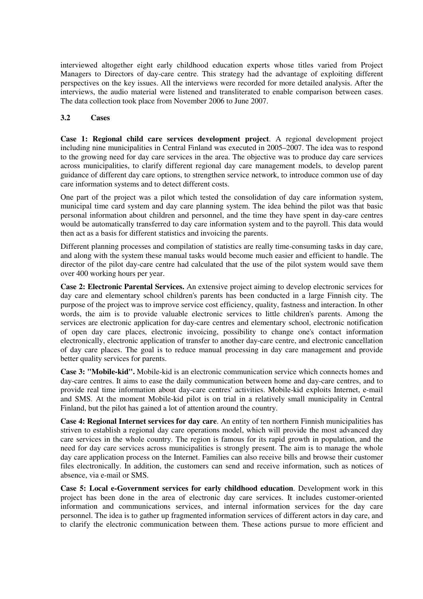interviewed altogether eight early childhood education experts whose titles varied from Project Managers to Directors of day-care centre. This strategy had the advantage of exploiting different perspectives on the key issues. All the interviews were recorded for more detailed analysis. After the interviews, the audio material were listened and transliterated to enable comparison between cases. The data collection took place from November 2006 to June 2007.

### **3.2 Cases**

**Case 1: Regional child care services development project**. A regional development project including nine municipalities in Central Finland was executed in 2005–2007. The idea was to respond to the growing need for day care services in the area. The objective was to produce day care services across municipalities, to clarify different regional day care management models, to develop parent guidance of different day care options, to strengthen service network, to introduce common use of day care information systems and to detect different costs.

One part of the project was a pilot which tested the consolidation of day care information system, municipal time card system and day care planning system. The idea behind the pilot was that basic personal information about children and personnel, and the time they have spent in day-care centres would be automatically transferred to day care information system and to the payroll. This data would then act as a basis for different statistics and invoicing the parents.

Different planning processes and compilation of statistics are really time-consuming tasks in day care, and along with the system these manual tasks would become much easier and efficient to handle. The director of the pilot day-care centre had calculated that the use of the pilot system would save them over 400 working hours per year.

**Case 2: Electronic Parental Services.** An extensive project aiming to develop electronic services for day care and elementary school children's parents has been conducted in a large Finnish city. The purpose of the project was to improve service cost efficiency, quality, fastness and interaction. In other words, the aim is to provide valuable electronic services to little children's parents. Among the services are electronic application for day-care centres and elementary school, electronic notification of open day care places, electronic invoicing, possibility to change one's contact information electronically, electronic application of transfer to another day-care centre, and electronic cancellation of day care places. The goal is to reduce manual processing in day care management and provide better quality services for parents.

**Case 3: "Mobile-kid".** Mobile-kid is an electronic communication service which connects homes and day-care centres. It aims to ease the daily communication between home and day-care centres, and to provide real time information about day-care centres' activities. Mobile-kid exploits Internet, e-mail and SMS. At the moment Mobile-kid pilot is on trial in a relatively small municipality in Central Finland, but the pilot has gained a lot of attention around the country.

**Case 4: Regional Internet services for day care**. An entity of ten northern Finnish municipalities has striven to establish a regional day care operations model, which will provide the most advanced day care services in the whole country. The region is famous for its rapid growth in population, and the need for day care services across municipalities is strongly present. The aim is to manage the whole day care application process on the Internet. Families can also receive bills and browse their customer files electronically. In addition, the customers can send and receive information, such as notices of absence, via e-mail or SMS.

**Case 5: Local e-Government services for early childhood education**. Development work in this project has been done in the area of electronic day care services. It includes customer-oriented information and communications services, and internal information services for the day care personnel. The idea is to gather up fragmented information services of different actors in day care, and to clarify the electronic communication between them. These actions pursue to more efficient and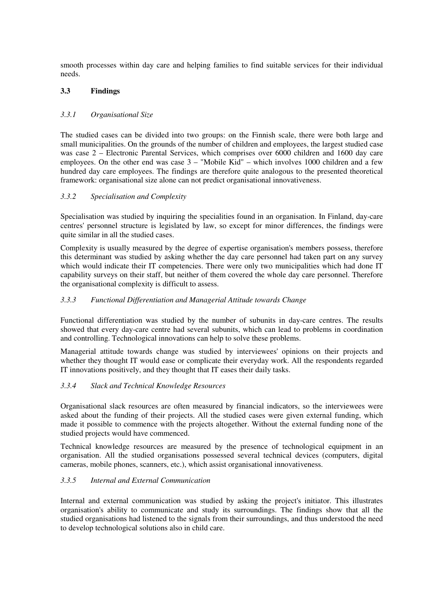smooth processes within day care and helping families to find suitable services for their individual needs.

### **3.3 Findings**

### *3.3.1 Organisational Size*

The studied cases can be divided into two groups: on the Finnish scale, there were both large and small municipalities. On the grounds of the number of children and employees, the largest studied case was case 2 – Electronic Parental Services, which comprises over 6000 children and 1600 day care employees. On the other end was case 3 – "Mobile Kid" – which involves 1000 children and a few hundred day care employees. The findings are therefore quite analogous to the presented theoretical framework: organisational size alone can not predict organisational innovativeness.

### *3.3.2 Specialisation and Complexity*

Specialisation was studied by inquiring the specialities found in an organisation. In Finland, day-care centres' personnel structure is legislated by law, so except for minor differences, the findings were quite similar in all the studied cases.

Complexity is usually measured by the degree of expertise organisation's members possess, therefore this determinant was studied by asking whether the day care personnel had taken part on any survey which would indicate their IT competencies. There were only two municipalities which had done IT capability surveys on their staff, but neither of them covered the whole day care personnel. Therefore the organisational complexity is difficult to assess.

### *3.3.3 Functional Differentiation and Managerial Attitude towards Change*

Functional differentiation was studied by the number of subunits in day-care centres. The results showed that every day-care centre had several subunits, which can lead to problems in coordination and controlling. Technological innovations can help to solve these problems.

Managerial attitude towards change was studied by interviewees' opinions on their projects and whether they thought IT would ease or complicate their everyday work. All the respondents regarded IT innovations positively, and they thought that IT eases their daily tasks.

#### *3.3.4 Slack and Technical Knowledge Resources*

Organisational slack resources are often measured by financial indicators, so the interviewees were asked about the funding of their projects. All the studied cases were given external funding, which made it possible to commence with the projects altogether. Without the external funding none of the studied projects would have commenced.

Technical knowledge resources are measured by the presence of technological equipment in an organisation. All the studied organisations possessed several technical devices (computers, digital cameras, mobile phones, scanners, etc.), which assist organisational innovativeness.

### *3.3.5 Internal and External Communication*

Internal and external communication was studied by asking the project's initiator. This illustrates organisation's ability to communicate and study its surroundings. The findings show that all the studied organisations had listened to the signals from their surroundings, and thus understood the need to develop technological solutions also in child care.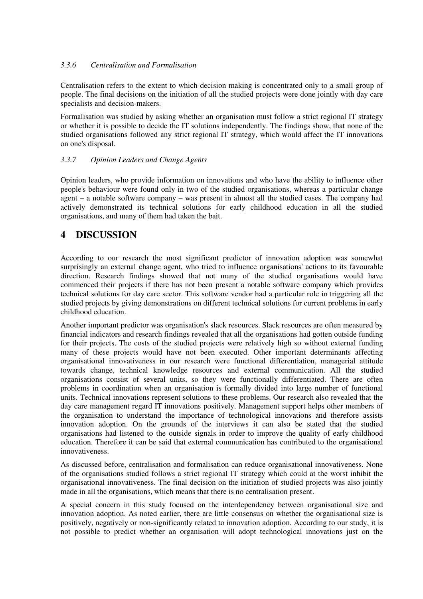### *3.3.6 Centralisation and Formalisation*

Centralisation refers to the extent to which decision making is concentrated only to a small group of people. The final decisions on the initiation of all the studied projects were done jointly with day care specialists and decision-makers.

Formalisation was studied by asking whether an organisation must follow a strict regional IT strategy or whether it is possible to decide the IT solutions independently. The findings show, that none of the studied organisations followed any strict regional IT strategy, which would affect the IT innovations on one's disposal.

### *3.3.7 Opinion Leaders and Change Agents*

Opinion leaders, who provide information on innovations and who have the ability to influence other people's behaviour were found only in two of the studied organisations, whereas a particular change agent – a notable software company – was present in almost all the studied cases. The company had actively demonstrated its technical solutions for early childhood education in all the studied organisations, and many of them had taken the bait.

### **4 DISCUSSION**

According to our research the most significant predictor of innovation adoption was somewhat surprisingly an external change agent, who tried to influence organisations' actions to its favourable direction. Research findings showed that not many of the studied organisations would have commenced their projects if there has not been present a notable software company which provides technical solutions for day care sector. This software vendor had a particular role in triggering all the studied projects by giving demonstrations on different technical solutions for current problems in early childhood education.

Another important predictor was organisation's slack resources. Slack resources are often measured by financial indicators and research findings revealed that all the organisations had gotten outside funding for their projects. The costs of the studied projects were relatively high so without external funding many of these projects would have not been executed. Other important determinants affecting organisational innovativeness in our research were functional differentiation, managerial attitude towards change, technical knowledge resources and external communication. All the studied organisations consist of several units, so they were functionally differentiated. There are often problems in coordination when an organisation is formally divided into large number of functional units. Technical innovations represent solutions to these problems. Our research also revealed that the day care management regard IT innovations positively. Management support helps other members of the organisation to understand the importance of technological innovations and therefore assists innovation adoption. On the grounds of the interviews it can also be stated that the studied organisations had listened to the outside signals in order to improve the quality of early childhood education. Therefore it can be said that external communication has contributed to the organisational innovativeness.

As discussed before, centralisation and formalisation can reduce organisational innovativeness. None of the organisations studied follows a strict regional IT strategy which could at the worst inhibit the organisational innovativeness. The final decision on the initiation of studied projects was also jointly made in all the organisations, which means that there is no centralisation present.

A special concern in this study focused on the interdependency between organisational size and innovation adoption. As noted earlier, there are little consensus on whether the organisational size is positively, negatively or non-significantly related to innovation adoption. According to our study, it is not possible to predict whether an organisation will adopt technological innovations just on the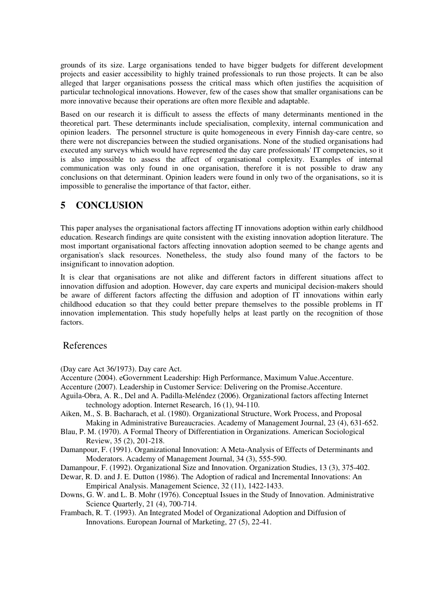grounds of its size. Large organisations tended to have bigger budgets for different development projects and easier accessibility to highly trained professionals to run those projects. It can be also alleged that larger organisations possess the critical mass which often justifies the acquisition of particular technological innovations. However, few of the cases show that smaller organisations can be more innovative because their operations are often more flexible and adaptable.

Based on our research it is difficult to assess the effects of many determinants mentioned in the theoretical part. These determinants include specialisation, complexity, internal communication and opinion leaders. The personnel structure is quite homogeneous in every Finnish day-care centre, so there were not discrepancies between the studied organisations. None of the studied organisations had executed any surveys which would have represented the day care professionals' IT competencies, so it is also impossible to assess the affect of organisational complexity. Examples of internal communication was only found in one organisation, therefore it is not possible to draw any conclusions on that determinant. Opinion leaders were found in only two of the organisations, so it is impossible to generalise the importance of that factor, either.

### **5 CONCLUSION**

This paper analyses the organisational factors affecting IT innovations adoption within early childhood education. Research findings are quite consistent with the existing innovation adoption literature. The most important organisational factors affecting innovation adoption seemed to be change agents and organisation's slack resources. Nonetheless, the study also found many of the factors to be insignificant to innovation adoption.

It is clear that organisations are not alike and different factors in different situations affect to innovation diffusion and adoption. However, day care experts and municipal decision-makers should be aware of different factors affecting the diffusion and adoption of IT innovations within early childhood education so that they could better prepare themselves to the possible problems in IT innovation implementation. This study hopefully helps at least partly on the recognition of those factors.

### References

(Day care Act 36/1973). Day care Act.

- Accenture (2004). eGovernment Leadership: High Performance, Maximum Value.Accenture.
- Accenture (2007). Leadership in Customer Service: Delivering on the Promise.Accenture.
- Aguila-Obra, A. R., Del and A. Padilla-Meléndez (2006). Organizational factors affecting Internet technology adoption. Internet Research, 16 (1), 94-110.
- Aiken, M., S. B. Bacharach, et al. (1980). Organizational Structure, Work Process, and Proposal Making in Administrative Bureaucracies. Academy of Management Journal, 23 (4), 631-652.
- Blau, P. M. (1970). A Formal Theory of Differentiation in Organizations. American Sociological Review, 35 (2), 201-218.
- Damanpour, F. (1991). Organizational Innovation: A Meta-Analysis of Effects of Determinants and Moderators. Academy of Management Journal, 34 (3), 555-590.
- Damanpour, F. (1992). Organizational Size and Innovation. Organization Studies, 13 (3), 375-402.
- Dewar, R. D. and J. E. Dutton (1986). The Adoption of radical and Incremental Innovations: An Empirical Analysis. Management Science, 32 (11), 1422-1433.
- Downs, G. W. and L. B. Mohr (1976). Conceptual Issues in the Study of Innovation. Administrative Science Quarterly, 21 (4), 700-714.
- Frambach, R. T. (1993). An Integrated Model of Organizational Adoption and Diffusion of Innovations. European Journal of Marketing, 27 (5), 22-41.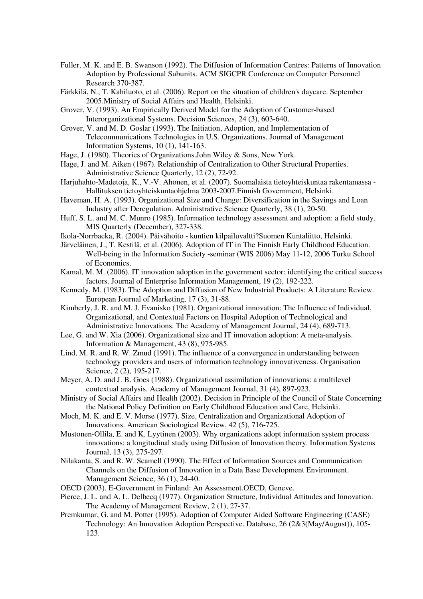- Fuller, M. K. and E. B. Swanson (1992). The Diffusion of Information Centres: Patterns of Innovation Adoption by Professional Subunits. ACM SIGCPR Conference on Computer Personnel Research 370-387.
- Färkkilä, N., T. Kahiluoto, et al. (2006). Report on the situation of children's daycare. September 2005.Ministry of Social Affairs and Health, Helsinki.
- Grover, V. (1993). An Empirically Derived Model for the Adoption of Customer-based Interorganizational Systems. Decision Sciences, 24 (3), 603-640.
- Grover, V. and M. D. Goslar (1993). The Initiation, Adoption, and Implementation of Telecommunications Technologies in U.S. Organizations. Journal of Management Information Systems, 10 (1), 141-163.
- Hage, J. (1980). Theories of Organizations.John Wiley & Sons, New York.
- Hage, J. and M. Aiken (1967). Relationship of Centralization to Other Structural Properties. Administrative Science Quarterly, 12 (2), 72-92.
- Harjuhahto-Madetoja, K., V.-V. Ahonen, et al. (2007). Suomalaista tietoyhteiskuntaa rakentamassa Hallituksen tietoyhteiskuntaohjelma 2003-2007.Finnish Government, Helsinki.
- Haveman, H. A. (1993). Organizational Size and Change: Diversification in the Savings and Loan Industry after Deregulation. Administrative Science Quarterly, 38 (1), 20-50.
- Huff, S. L. and M. C. Munro (1985). Information technology assessment and adoption: a field study. MIS Quarterly (December), 327-338.
- Ikola-Norrbacka, R. (2004). Päivähoito kuntien kilpailuvaltti?Suomen Kuntaliitto, Helsinki.
- Järveläinen, J., T. Kestilä, et al. (2006). Adoption of IT in The Finnish Early Childhood Education. Well-being in the Information Society -seminar (WIS 2006) May 11-12, 2006 Turku School of Economics.
- Kamal, M. M. (2006). IT innovation adoption in the government sector: identifying the critical success factors. Journal of Enterprise Information Management, 19 (2), 192-222.
- Kennedy, M. (1983). The Adoption and Diffusion of New Industrial Products: A Literature Review. European Journal of Marketing, 17 (3), 31-88.
- Kimberly, J. R. and M. J. Evanisko (1981). Organizational innovation: The Influence of Individual, Organizational, and Contextual Factors on Hospital Adoption of Technological and Administrative Innovations. The Academy of Management Journal, 24 (4), 689-713.
- Lee, G. and W. Xia (2006). Organizational size and IT innovation adoption: A meta-analysis. Information & Management, 43 (8), 975-985.
- Lind, M. R. and R. W. Zmud (1991). The influence of a convergence in understanding between technology providers and users of information technology innovativeness. Organisation Science, 2 (2), 195-217.
- Meyer, A. D. and J. B. Goes (1988). Organizational assimilation of innovations: a multilevel contextual analysis. Academy of Management Journal, 31 (4), 897-923.
- Ministry of Social Affairs and Health (2002). Decision in Principle of the Council of State Concerning the National Policy Definition on Early Childhood Education and Care, Helsinki.
- Moch, M. K. and E. V. Morse (1977). Size, Centralization and Organizational Adoption of Innovations. American Sociological Review, 42 (5), 716-725.
- Mustonen-Ollila, E. and K. Lyytinen (2003). Why organizations adopt information system process innovations: a longitudinal study using Diffusion of Innovation theory. Information Systems Journal, 13 (3), 275-297.
- Nilakanta, S. and R. W. Scamell (1990). The Effect of Information Sources and Communication Channels on the Diffusion of Innovation in a Data Base Development Environment. Management Science, 36 (1), 24-40.
- OECD (2003). E-Government in Finland: An Assessment.OECD, Geneve.
- Pierce, J. L. and A. L. Delbecq (1977). Organization Structure, Individual Attitudes and Innovation. The Academy of Management Review, 2 (1), 27-37.
- Premkumar, G. and M. Potter (1995). Adoption of Computer Aided Software Engineering (CASE) Technology: An Innovation Adoption Perspective. Database, 26 (2&3(May/August)), 105- 123.